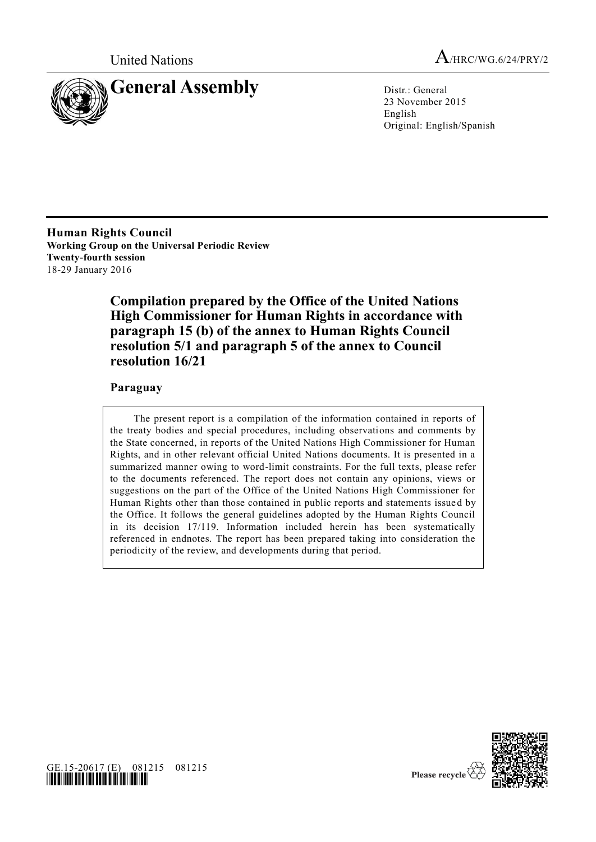



23 November 2015 English Original: English/Spanish

**Human Rights Council Working Group on the Universal Periodic Review Twenty-fourth session** 18-29 January 2016

# **Compilation prepared by the Office of the United Nations High Commissioner for Human Rights in accordance with paragraph 15 (b) of the annex to Human Rights Council resolution 5/1 and paragraph 5 of the annex to Council resolution 16/21**

## **Paraguay**

The present report is a compilation of the information contained in reports of the treaty bodies and special procedures, including observations and comments by the State concerned, in reports of the United Nations High Commissioner for Human Rights, and in other relevant official United Nations documents. It is presented in a summarized manner owing to word-limit constraints. For the full texts, please refer to the documents referenced. The report does not contain any opinions, views or suggestions on the part of the Office of the United Nations High Commissioner for Human Rights other than those contained in public reports and statements issue d by the Office. It follows the general guidelines adopted by the Human Rights Council in its decision 17/119. Information included herein has been systematically referenced in endnotes. The report has been prepared taking into consideration the periodicity of the review, and developments during that period.



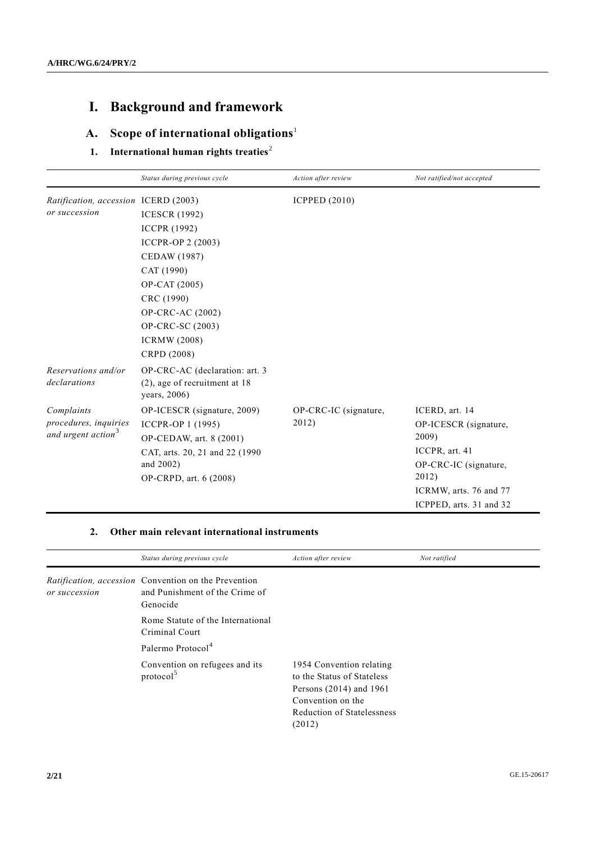# **I. Background and framework**

# **A. Scope of international obligations**<sup>1</sup>

# **1.** International human rights treaties<sup>2</sup>

|                                                                       | Status during previous cycle                                                                                                                                                               | Action after review            | Not ratified/not accepted                                                                                                                                 |
|-----------------------------------------------------------------------|--------------------------------------------------------------------------------------------------------------------------------------------------------------------------------------------|--------------------------------|-----------------------------------------------------------------------------------------------------------------------------------------------------------|
| Ratification, accession ICERD (2003)<br>or succession                 | <b>ICESCR (1992)</b>                                                                                                                                                                       | <b>ICPPED (2010)</b>           |                                                                                                                                                           |
|                                                                       | <b>ICCPR</b> (1992)<br><b>ICCPR-OP 2 (2003)</b><br>CEDAW (1987)<br>CAT (1990)<br>OP-CAT (2005)<br>CRC (1990)<br>OP-CRC-AC (2002)<br>OP-CRC-SC (2003)<br><b>ICRMW</b> (2008)<br>CRPD (2008) |                                |                                                                                                                                                           |
| Reservations and/or<br>declarations                                   | OP-CRC-AC (declaration: art. 3<br>$(2)$ , age of recruitment at 18<br>years, 2006)                                                                                                         |                                |                                                                                                                                                           |
| Complaints<br>procedures, inquiries<br>and urgent action <sup>3</sup> | OP-ICESCR (signature, 2009)<br>ICCPR-OP 1 (1995)<br>OP-CEDAW, art. 8 (2001)<br>CAT, arts. 20, 21 and 22 (1990)<br>and 2002)<br>OP-CRPD, art. 6 (2008)                                      | OP-CRC-IC (signature,<br>2012) | ICERD, art. 14<br>OP-ICESCR (signature,<br>2009)<br>ICCPR, art. 41<br>OP-CRC-IC (signature,<br>2012)<br>ICRMW, arts. 76 and 77<br>ICPPED, arts. 31 and 32 |

### **2. Other main relevant international instruments**

|               | Status during previous cycle                                                                              | Action after review                                                                                                                              | Not ratified |
|---------------|-----------------------------------------------------------------------------------------------------------|--------------------------------------------------------------------------------------------------------------------------------------------------|--------------|
| or succession | <i>Ratification, accession</i> Convention on the Prevention<br>and Punishment of the Crime of<br>Genocide |                                                                                                                                                  |              |
|               | Rome Statute of the International<br>Criminal Court                                                       |                                                                                                                                                  |              |
|               | Palermo Protocol <sup>4</sup>                                                                             |                                                                                                                                                  |              |
|               | Convention on refugees and its<br>protocol <sup>5</sup>                                                   | 1954 Convention relating<br>to the Status of Stateless<br>Persons $(2014)$ and 1961<br>Convention on the<br>Reduction of Statelessness<br>(2012) |              |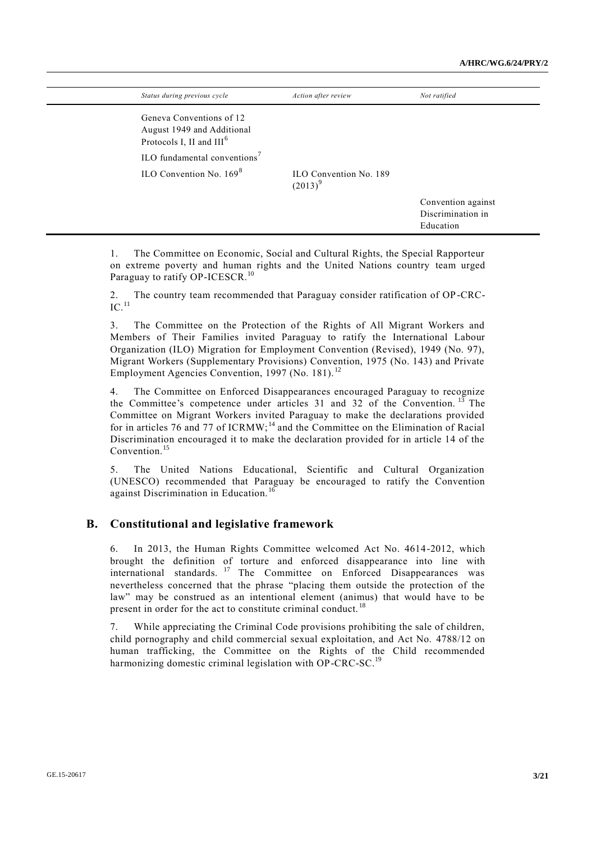| Status during previous cycle                                                                   | Action after review                         | Not ratified                   |
|------------------------------------------------------------------------------------------------|---------------------------------------------|--------------------------------|
| Geneva Conventions of 12<br>August 1949 and Additional<br>Protocols I, II and III <sup>6</sup> |                                             |                                |
| ILO fundamental conventions <sup>7</sup>                                                       |                                             |                                |
| ILO Convention No. $169^8$                                                                     | <b>ILO Convention No. 189</b><br>$(2013)^9$ |                                |
|                                                                                                |                                             | Convention against             |
|                                                                                                |                                             | Discrimination in<br>Education |

1. The Committee on Economic, Social and Cultural Rights, the Special Rapporteur on extreme poverty and human rights and the United Nations country team urged Paraguay to ratify OP-ICESCR.<sup>10</sup>

2. The country team recommended that Paraguay consider ratification of OP-CRC- $IC.$ <sup>11</sup>

3. The Committee on the Protection of the Rights of All Migrant Workers and Members of Their Families invited Paraguay to ratify the International Labour Organization (ILO) Migration for Employment Convention (Revised), 1949 (No. 97), Migrant Workers (Supplementary Provisions) Convention, 1975 (No. 143) and Private Employment Agencies Convention, 1997 (No. 181).<sup>12</sup>

4. The Committee on Enforced Disappearances encouraged Paraguay to recognize the Committee's competence under articles 31 and 32 of the Convention.  $13$  The Committee on Migrant Workers invited Paraguay to make the declarations provided for in articles 76 and 77 of ICRMW;<sup>14</sup> and the Committee on the Elimination of Racial Discrimination encouraged it to make the declaration provided for in article 14 of the Convention.<sup>15</sup>

5. The United Nations Educational, Scientific and Cultural Organization (UNESCO) recommended that Paraguay be encouraged to ratify the Convention against Discrimination in Education.<sup>16</sup>

### **B. Constitutional and legislative framework**

6. In 2013, the Human Rights Committee welcomed Act No. 4614-2012, which brought the definition of torture and enforced disappearance into line with international standards. <sup>17</sup> The Committee on Enforced Disappearances was nevertheless concerned that the phrase "placing them outside the protection of the law" may be construed as an intentional element (animus) that would have to be present in order for the act to constitute criminal conduct.<sup>18</sup>

7. While appreciating the Criminal Code provisions prohibiting the sale of children, child pornography and child commercial sexual exploitation, and Act No. 4788/12 on human trafficking, the Committee on the Rights of the Child recommended harmonizing domestic criminal legislation with OP-CRC-SC.<sup>19</sup>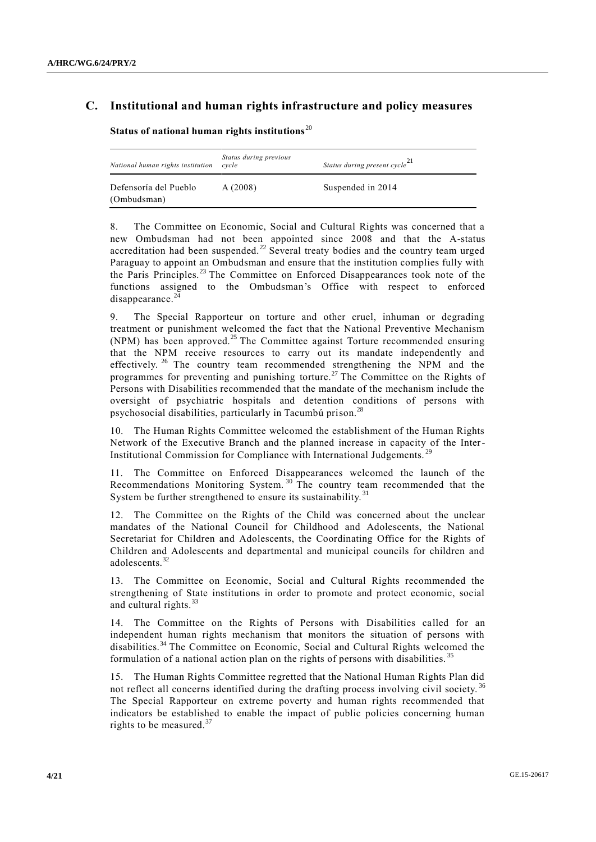## **C. Institutional and human rights infrastructure and policy measures**

**Status of national human rights institutions**<sup>20</sup>

| National human rights institution    | Status during previous<br>cycle | Status during present cycle <sup>21</sup> |
|--------------------------------------|---------------------------------|-------------------------------------------|
| Defensoría del Pueblo<br>(Ombudsman) | A(2008)                         | Suspended in 2014                         |

8. The Committee on Economic, Social and Cultural Rights was concerned that a new Ombudsman had not been appointed since 2008 and that the A-status accreditation had been suspended.<sup>22</sup> Several treaty bodies and the country team urged Paraguay to appoint an Ombudsman and ensure that the institution complies fully with the Paris Principles.<sup>23</sup> The Committee on Enforced Disappearances took note of the functions assigned to the Ombudsman's Office with respect to enforced disappearance. $^{24}$ 

9. The Special Rapporteur on torture and other cruel, inhuman or degrading treatment or punishment welcomed the fact that the National Preventive Mechanism (NPM) has been approved.<sup>25</sup> The Committee against Torture recommended ensuring that the NPM receive resources to carry out its mandate independently and effectively. <sup>26</sup> The country team recommended strengthening the NPM and the programmes for preventing and punishing torture.<sup>27</sup> The Committee on the Rights of Persons with Disabilities recommended that the mandate of the mechanism include the oversight of psychiatric hospitals and detention conditions of persons with psychosocial disabilities, particularly in Tacumbú prison.<sup>28</sup>

10. The Human Rights Committee welcomed the establishment of the Human Rights Network of the Executive Branch and the planned increase in capacity of the Inter-Institutional Commission for Compliance with International Judgements.

11. The Committee on Enforced Disappearances welcomed the launch of the Recommendations Monitoring System. <sup>30</sup> The country team recommended that the System be further strengthened to ensure its sustainability.<sup>31</sup>

12. The Committee on the Rights of the Child was concerned about the unclear mandates of the National Council for Childhood and Adolescents, the National Secretariat for Children and Adolescents, the Coordinating Office for the Rights of Children and Adolescents and departmental and municipal councils for children and adolescents.<sup>32</sup>

13. The Committee on Economic, Social and Cultural Rights recommended the strengthening of State institutions in order to promote and protect economic, social and cultural rights. $33$ 

14. The Committee on the Rights of Persons with Disabilities called for an independent human rights mechanism that monitors the situation of persons with disabilities.<sup>34</sup> The Committee on Economic, Social and Cultural Rights welcomed the formulation of a national action plan on the rights of persons with disabilities. <sup>35</sup>

15. The Human Rights Committee regretted that the National Human Rights Plan did not reflect all concerns identified during the drafting process involving civil society.<sup>36</sup> The Special Rapporteur on extreme poverty and human rights recommended that indicators be established to enable the impact of public policies concerning human rights to be measured. $37$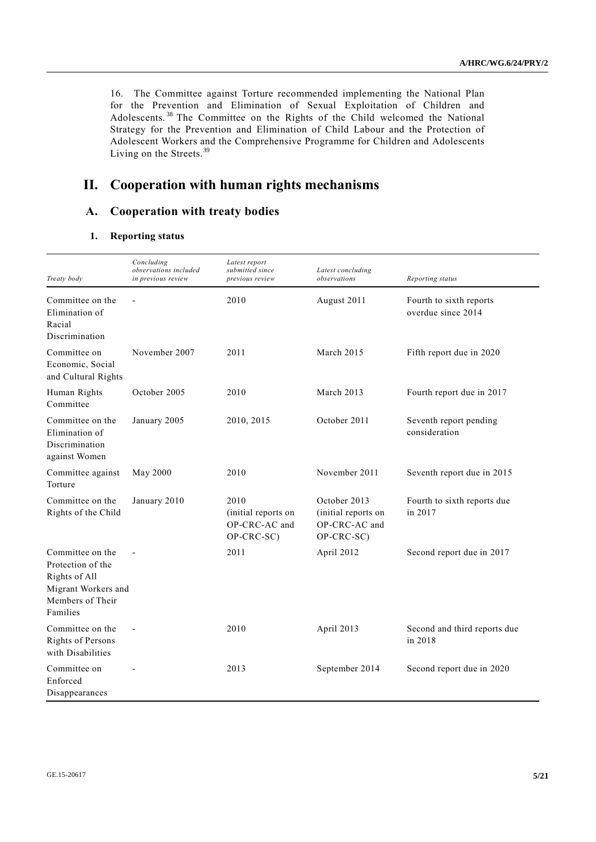16. The Committee against Torture recommended implementing the National Plan for the Prevention and Elimination of Sexual Exploitation of Children and Adolescents.<sup>38</sup> The Committee on the Rights of the Child welcomed the National Strategy for the Prevention and Elimination of Child Labour and the Protection of Adolescent Workers and the Comprehensive Programme for Children and Adolescents Living on the Streets.<sup>39</sup>

# **II. Cooperation with human rights mechanisms**

## **A. Cooperation with treaty bodies**

## **1. Reporting status**

| Treaty body                                                                                                   | Concluding<br>observations included<br>in previous review | Latest report<br>submitted since<br>previous review        | Latest concluding<br>observations                                  | Reporting status                              |
|---------------------------------------------------------------------------------------------------------------|-----------------------------------------------------------|------------------------------------------------------------|--------------------------------------------------------------------|-----------------------------------------------|
| Committee on the<br>Elimination of<br>Racial<br>Discrimination                                                | $\overline{a}$                                            | 2010                                                       | August 2011                                                        | Fourth to sixth reports<br>overdue since 2014 |
| Committee on<br>Economic, Social<br>and Cultural Rights                                                       | November 2007                                             | 2011                                                       | March 2015                                                         | Fifth report due in 2020                      |
| Human Rights<br>Committee                                                                                     | October 2005                                              | 2010                                                       | March 2013                                                         | Fourth report due in 2017                     |
| Committee on the<br>Elimination of<br>Discrimination<br>against Women                                         | January 2005                                              | 2010, 2015                                                 | October 2011                                                       | Seventh report pending<br>consideration       |
| Committee against<br>Torture                                                                                  | May 2000                                                  | 2010                                                       | November 2011                                                      | Seventh report due in 2015                    |
| Committee on the<br>Rights of the Child                                                                       | January 2010                                              | 2010<br>(initial reports on<br>OP-CRC-AC and<br>OP-CRC-SC) | October 2013<br>(initial reports on<br>OP-CRC-AC and<br>OP-CRC-SC) | Fourth to sixth reports due<br>in 2017        |
| Committee on the<br>Protection of the<br>Rights of All<br>Migrant Workers and<br>Members of Their<br>Families |                                                           | 2011                                                       | April 2012                                                         | Second report due in 2017                     |
| Committee on the<br>Rights of Persons<br>with Disabilities                                                    |                                                           | 2010                                                       | April 2013                                                         | Second and third reports due<br>in 2018       |
| Committee on<br>Enforced<br>Disappearances                                                                    |                                                           | 2013                                                       | September 2014                                                     | Second report due in 2020                     |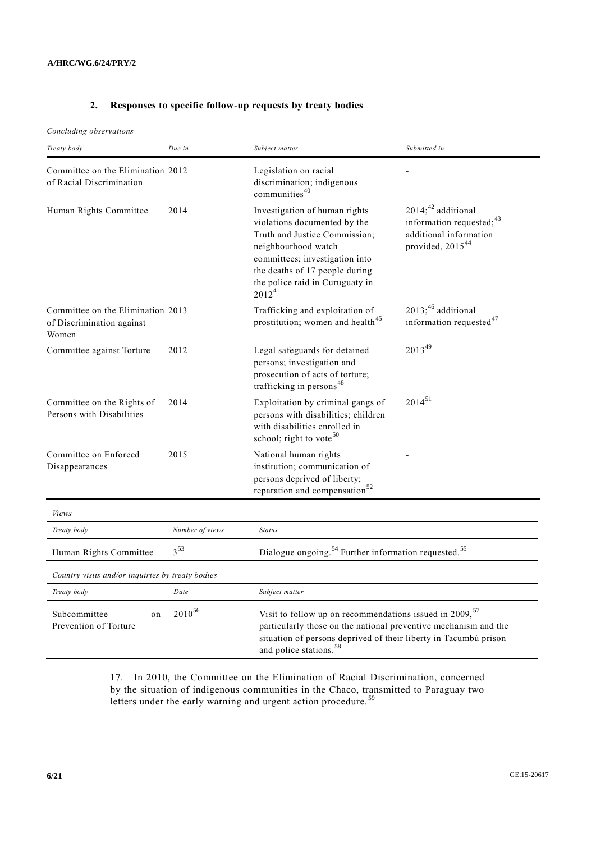### **2. Responses to specific follow-up requests by treaty bodies**

| Concluding observations                                                 |                 |                                                                                                                                                                                                                                                  |                                                                                                                            |  |
|-------------------------------------------------------------------------|-----------------|--------------------------------------------------------------------------------------------------------------------------------------------------------------------------------------------------------------------------------------------------|----------------------------------------------------------------------------------------------------------------------------|--|
| Treaty body                                                             | Due in          | Subject matter                                                                                                                                                                                                                                   | Submitted in                                                                                                               |  |
| Committee on the Elimination 2012<br>of Racial Discrimination           |                 | Legislation on racial<br>discrimination; indigenous<br>communities <sup>40</sup>                                                                                                                                                                 |                                                                                                                            |  |
| Human Rights Committee                                                  | 2014            | Investigation of human rights<br>violations documented by the<br>Truth and Justice Commission;<br>neighbourhood watch<br>committees; investigation into<br>the deaths of 17 people during<br>the police raid in Curuguaty in<br>$2012^{41}$      | $2014$ ; <sup>42</sup> additional<br>information requested; $43$<br>additional information<br>provided, 2015 <sup>44</sup> |  |
| Committee on the Elimination 2013<br>of Discrimination against<br>Women |                 | Trafficking and exploitation of<br>prostitution; women and health <sup>45</sup>                                                                                                                                                                  | $2013$ ; $46$ additional<br>information requested <sup>47</sup>                                                            |  |
| Committee against Torture                                               | 2012            | Legal safeguards for detained<br>persons; investigation and<br>prosecution of acts of torture;<br>trafficking in persons <sup>48</sup>                                                                                                           | 201349                                                                                                                     |  |
| Committee on the Rights of<br>Persons with Disabilities                 | 2014            | Exploitation by criminal gangs of<br>persons with disabilities; children<br>with disabilities enrolled in<br>school; right to vote <sup>50</sup>                                                                                                 | $2014^{51}$                                                                                                                |  |
| Committee on Enforced<br>Disappearances                                 | 2015            | National human rights<br>institution; communication of<br>persons deprived of liberty;<br>reparation and compensation <sup>52</sup>                                                                                                              |                                                                                                                            |  |
| <i>Views</i>                                                            |                 |                                                                                                                                                                                                                                                  |                                                                                                                            |  |
| Treaty body                                                             | Number of views | <b>Status</b>                                                                                                                                                                                                                                    |                                                                                                                            |  |
| $3^{53}$<br>Human Rights Committee                                      |                 | Dialogue ongoing. <sup>54</sup> Further information requested. <sup>55</sup>                                                                                                                                                                     |                                                                                                                            |  |
| Country visits and/or inquiries by treaty bodies                        |                 |                                                                                                                                                                                                                                                  |                                                                                                                            |  |
| Treaty body                                                             | Date            | Subject matter                                                                                                                                                                                                                                   |                                                                                                                            |  |
| $2010^{56}$<br>Subcommittee<br>on<br>Prevention of Torture              |                 | Visit to follow up on recommendations issued in 2009, <sup>57</sup><br>particularly those on the national preventive mechanism and the<br>situation of persons deprived of their liberty in Tacumbú prison<br>and police stations. <sup>58</sup> |                                                                                                                            |  |

17. In 2010, the Committee on the Elimination of Racial Discrimination, concerned by the situation of indigenous communities in the Chaco, transmitted to Paraguay two letters under the early warning and urgent action procedure.<sup>59</sup>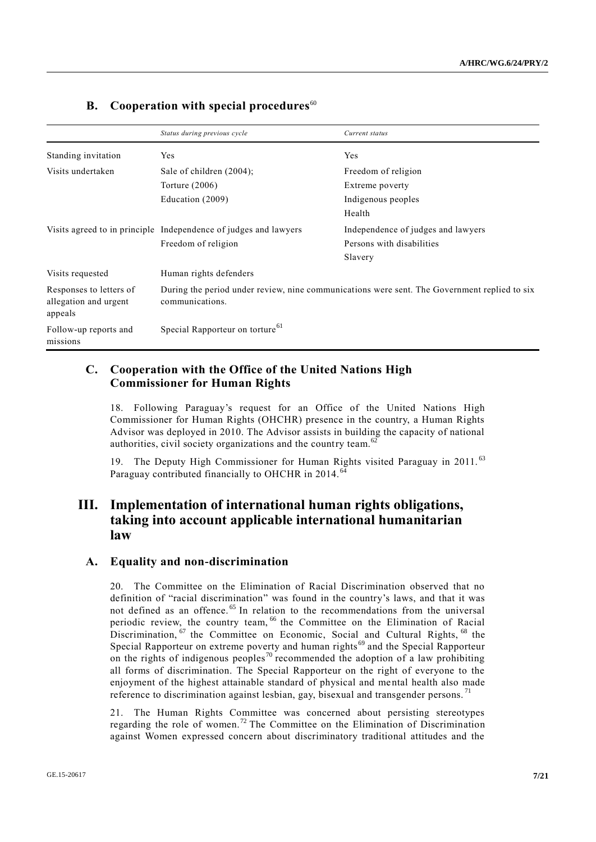|                                                             | Status during previous cycle                                                                                    | Current status                     |  |
|-------------------------------------------------------------|-----------------------------------------------------------------------------------------------------------------|------------------------------------|--|
| Standing invitation                                         | Yes                                                                                                             | Yes                                |  |
| Visits undertaken                                           | Sale of children $(2004)$ ;                                                                                     | Freedom of religion                |  |
|                                                             | Torture $(2006)$                                                                                                | Extreme poverty                    |  |
|                                                             | Education (2009)                                                                                                | Indigenous peoples                 |  |
|                                                             |                                                                                                                 | Health                             |  |
|                                                             | Visits agreed to in principle Independence of judges and lawyers                                                | Independence of judges and lawyers |  |
|                                                             | Freedom of religion                                                                                             | Persons with disabilities          |  |
|                                                             |                                                                                                                 | Slavery                            |  |
| Visits requested                                            | Human rights defenders                                                                                          |                                    |  |
| Responses to letters of<br>allegation and urgent<br>appeals | During the period under review, nine communications were sent. The Government replied to six<br>communications. |                                    |  |
| Follow-up reports and<br>missions                           | Special Rapporteur on torture <sup>61</sup>                                                                     |                                    |  |

## **B.** Cooperation with special procedures<sup>60</sup>

## **C. Cooperation with the Office of the United Nations High Commissioner for Human Rights**

18. Following Paraguay's request for an Office of the United Nations High Commissioner for Human Rights (OHCHR) presence in the country, a Human Rights Advisor was deployed in 2010. The Advisor assists in building the capacity of national authorities, civil society organizations and the country team.<sup>62</sup>

19. The Deputy High Commissioner for Human Rights visited Paraguay in 2011. <sup>63</sup> Paraguay contributed financially to OHCHR in 2014.<sup>64</sup>

# **III. Implementation of international human rights obligations, taking into account applicable international humanitarian law**

### **A. Equality and non-discrimination**

20. The Committee on the Elimination of Racial Discrimination observed that no definition of "racial discrimination" was found in the country's laws, and that it was not defined as an offence.<sup>65</sup> In relation to the recommendations from the universal periodic review, the country team, <sup>66</sup> the Committee on the Elimination of Racial Discrimination, <sup>67</sup> the Committee on Economic, Social and Cultural Rights, <sup>68</sup> the Special Rapporteur on extreme poverty and human rights<sup>69</sup> and the Special Rapporteur on the rights of indigenous peoples<sup>70</sup> recommended the adoption of a law prohibiting all forms of discrimination. The Special Rapporteur on the right of everyone to the enjoyment of the highest attainable standard of physical and me ntal health also made reference to discrimination against lesbian, gay, bisexual and transgender persons.<sup>71</sup>

21. The Human Rights Committee was concerned about persisting stereotypes regarding the role of women.<sup>72</sup> The Committee on the Elimination of Discrimination against Women expressed concern about discriminatory traditional attitudes and the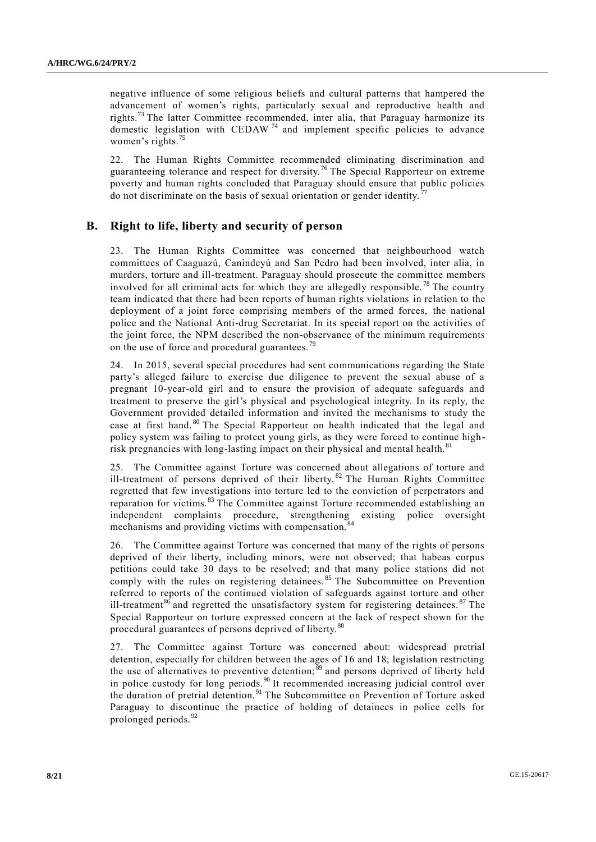negative influence of some religious beliefs and cultural patterns that hampered the advancement of women's rights, particularly sexual and reproductive health and rights.<sup>73</sup> The latter Committee recommended, inter alia, that Paraguay harmonize its domestic legislation with CEDAW  $74$  and implement specific policies to advance women's rights.<sup>75</sup>

22. The Human Rights Committee recommended eliminating discrimination and guaranteeing tolerance and respect for diversity.<sup>76</sup> The Special Rapporteur on extreme poverty and human rights concluded that Paraguay should ensure that public policies do not discriminate on the basis of sexual orientation or gender identity.<sup>7</sup>

#### **B. Right to life, liberty and security of person**

23. The Human Rights Committee was concerned that neighbourhood watch committees of Caaguazú, Canindeyú and San Pedro had been involved, inter alia, in murders, torture and ill-treatment. Paraguay should prosecute the committee members involved for all criminal acts for which they are allegedly responsible.<sup>78</sup> The country team indicated that there had been reports of human rights violations in relation to the deployment of a joint force comprising members of the armed forces, the national police and the National Anti-drug Secretariat. In its special report on the activities of the joint force, the NPM described the non-observance of the minimum requirements on the use of force and procedural guarantees.<sup>79</sup>

24. In 2015, several special procedures had sent communications regarding the State party's alleged failure to exercise due diligence to prevent the sexual abuse of a pregnant 10-year-old girl and to ensure the provision of adequate safeguards and treatment to preserve the girl's physical and psychological integrity. In its reply, the Government provided detailed information and invited the mechanisms to study the case at first hand. <sup>80</sup> The Special Rapporteur on health indicated that the legal and policy system was failing to protect young girls, as they were forced to continue highrisk pregnancies with long-lasting impact on their physical and mental health.<sup>81</sup>

25. The Committee against Torture was concerned about allegations of torture and ill-treatment of persons deprived of their liberty. <sup>82</sup> The Human Rights Committee regretted that few investigations into torture led to the conviction of perpetrators and reparation for victims.<sup>83</sup> The Committee against Torture recommended establishing an independent complaints procedure, strengthening existing police oversight mechanisms and providing victims with compensation.

26. The Committee against Torture was concerned that many of the rights of persons deprived of their liberty, including minors, were not observed; that habeas corpus petitions could take 30 days to be resolved; and that many police stations did not comply with the rules on registering detainees.<sup>85</sup> The Subcommittee on Prevention referred to reports of the continued violation of safeguards against torture and other ill-treatment<sup>86</sup> and regretted the unsatisfactory system for registering detainees.  $87$  The Special Rapporteur on torture expressed concern at the lack of respect shown for the procedural guarantees of persons deprived of liberty.<sup>88</sup>

27. The Committee against Torture was concerned about: widespread pretrial detention, especially for children between the ages of 16 and 18; legislation restricting the use of alternatives to preventive detention;<sup>89</sup> and persons deprived of liberty held in police custody for long periods.<sup>90</sup> It recommended increasing judicial control over the duration of pretrial detention.<sup>91</sup> The Subcommittee on Prevention of Torture asked Paraguay to discontinue the practice of holding of detainees in police cells for prolonged periods.<sup>92</sup>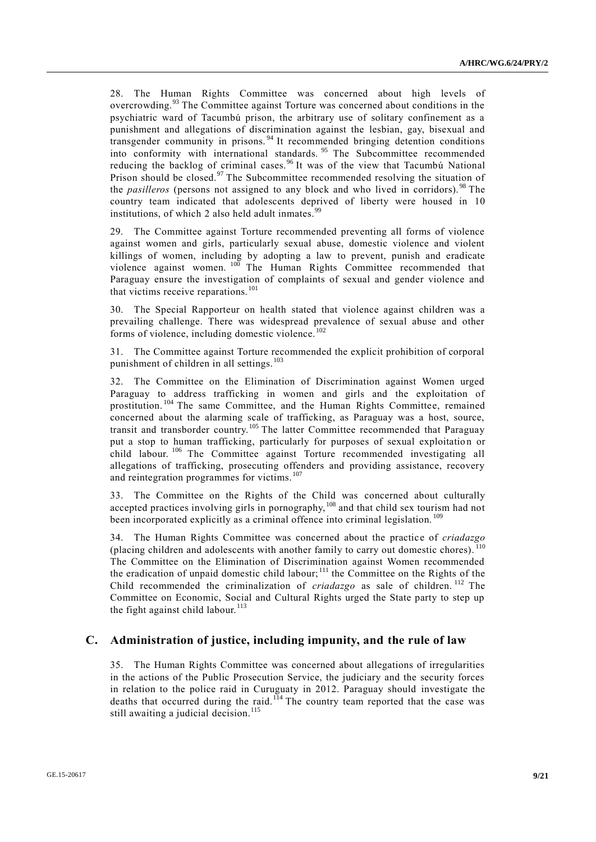28. The Human Rights Committee was concerned about high levels of overcrowding.<sup>93</sup> The Committee against Torture was concerned about conditions in the psychiatric ward of Tacumbú prison, the arbitrary use of solitary confinement as a punishment and allegations of discrimination against the lesbian, gay, bisexual and transgender community in prisons. <sup>94</sup> It recommended bringing detention conditions into conformity with international standards. <sup>95</sup> The Subcommittee recommended reducing the backlog of criminal cases. <sup>96</sup> It was of the view that Tacumbú National Prison should be closed.<sup>97</sup> The Subcommittee recommended resolving the situation of the *pasilleros* (persons not assigned to any block and who lived in corridors). <sup>98</sup> The country team indicated that adolescents deprived of liberty were housed in 10 institutions, of which 2 also held adult inmates. $99$ 

29. The Committee against Torture recommended preventing all forms of violence against women and girls, particularly sexual abuse, domestic violence and violent killings of women, including by adopting a law to prevent, punish and eradicate violence against women. <sup>100</sup> The Human Rights Committee recommended that Paraguay ensure the investigation of complaints of sexual and gender violence and that victims receive reparations.<sup>101</sup>

30. The Special Rapporteur on health stated that violence against children was a prevailing challenge. There was widespread prevalence of sexual abuse and other forms of violence, including domestic violence.<sup>102</sup>

31. The Committee against Torture recommended the explicit prohibition of corporal punishment of children in all settings.<sup>103</sup>

32. The Committee on the Elimination of Discrimination against Women urged Paraguay to address trafficking in women and girls and the exploitation of prostitution. <sup>104</sup> The same Committee, and the Human Rights Committee, remained concerned about the alarming scale of trafficking, as Paraguay was a host, source, transit and transborder country.<sup>105</sup> The latter Committee recommended that Paraguay put a stop to human trafficking, particularly for purposes of sexual exploitation or child labour.<sup>106</sup> The Committee against Torture recommended investigating all allegations of trafficking, prosecuting offenders and providing assistance, recovery and reintegration programmes for victims. <sup>107</sup>

33. The Committee on the Rights of the Child was concerned about culturally accepted practices involving girls in pornography,<sup>108</sup> and that child sex tourism had not been incorporated explicitly as a criminal offence into criminal legislation.<sup>109</sup>

34. The Human Rights Committee was concerned about the practice of *criadazgo* (placing children and adolescents with another family to carry out domestic chores). The Committee on the Elimination of Discrimination against Women recommended the eradication of unpaid domestic child labour;<sup>111</sup> the Committee on the Rights of the Child recommended the criminalization of *criadazgo* as sale of children. <sup>112</sup> The Committee on Economic, Social and Cultural Rights urged the State party to step up the fight against child labour. $113$ 

### **C. Administration of justice, including impunity, and the rule of law**

35. The Human Rights Committee was concerned about allegations of irregularities in the actions of the Public Prosecution Service, the judiciary and the security forces in relation to the police raid in Curuguaty in 2012. Paraguay should investigate the deaths that occurred during the raid.<sup>114</sup> The country team reported that the case was still awaiting a judicial decision.<sup>115</sup>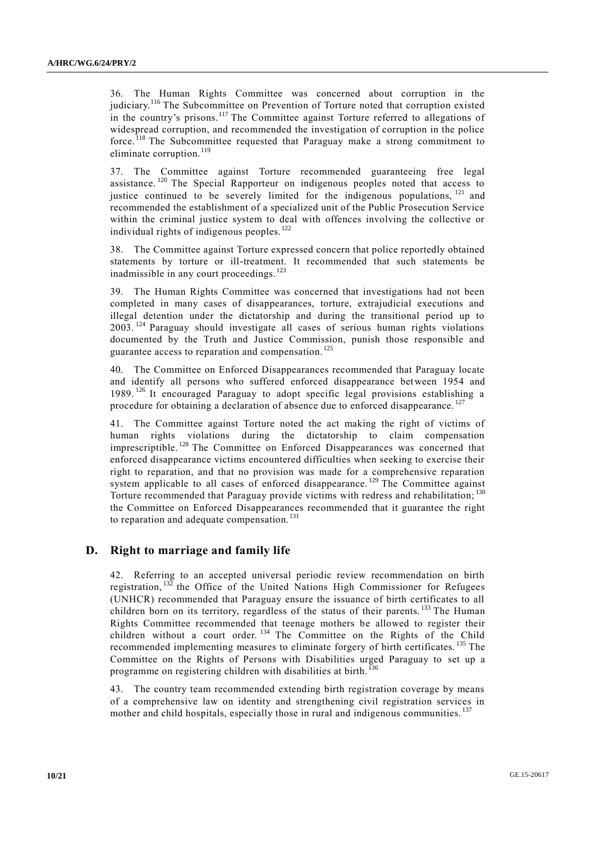36. The Human Rights Committee was concerned about corruption in the judiciary.<sup>116</sup> The Subcommittee on Prevention of Torture noted that corruption existed in the country's prisons.<sup>117</sup> The Committee against Torture referred to allegations of widespread corruption, and recommended the investigation of corruption in the police force. <sup>118</sup> The Subcommittee requested that Paraguay make a strong commitment to eliminate corruption. $119$ 

37. The Committee against Torture recommended guaranteeing free legal assistance. <sup>120</sup> The Special Rapporteur on indigenous peoples noted that access to justice continued to be severely limited for the indigenous populations,  $^{121}$  and recommended the establishment of a specialized unit of the Public Prosecution Service within the criminal justice system to deal with offences involving the collective or individual rights of indigenous peoples.<sup>122</sup>

38. The Committee against Torture expressed concern that police reportedly obtained statements by torture or ill-treatment. It recommended that such statements be inadmissible in any court proceedings.<sup>123</sup>

39. The Human Rights Committee was concerned that investigations had not been completed in many cases of disappearances, torture, extrajudicial executions and illegal detention under the dictatorship and during the transitional period up to 2003. <sup>124</sup> Paraguay should investigate all cases of serious human rights violations documented by the Truth and Justice Commission, punish those responsible and guarantee access to reparation and compensation.<sup>125</sup>

40. The Committee on Enforced Disappearances recommended that Paraguay locate and identify all persons who suffered enforced disappearance between 1954 and 1989. <sup>126</sup> It encouraged Paraguay to adopt specific legal provisions establishing a procedure for obtaining a declaration of absence due to enforced disappearance.<sup>127</sup>

41. The Committee against Torture noted the act making the right of victims of human rights violations during the dictatorship to claim compensation imprescriptible. <sup>128</sup> The Committee on Enforced Disappearances was concerned that enforced disappearance victims encountered difficulties when seeking to exercise their right to reparation, and that no provision was made for a comprehensive reparation system applicable to all cases of enforced disappearance.<sup>129</sup> The Committee against Torture recommended that Paraguay provide victims with redress and rehabilitation; 130 the Committee on Enforced Disappearances recommended that it guarantee the right to reparation and adequate compensation.<sup>131</sup>

#### **D. Right to marriage and family life**

42. Referring to an accepted universal periodic review recommendation on birth registration,  $^{132}$  the Office of the United Nations High Commissioner for Refugees (UNHCR) recommended that Paraguay ensure the issuance of birth certificates to all children born on its territory, regardless of the status of their parents.<sup>133</sup> The Human Rights Committee recommended that teenage mothers be allowed to register their children without a court order.<sup>134</sup> The Committee on the Rights of the Child recommended implementing measures to eliminate forgery of birth certificates. <sup>135</sup> The Committee on the Rights of Persons with Disabilities urged Paraguay to set up a programme on registering children with disabilities at birth.<sup>136</sup>

43. The country team recommended extending birth registration coverage by means of a comprehensive law on identity and strengthening civil registration services in mother and child hospitals, especially those in rural and indigenous communities.<sup>137</sup>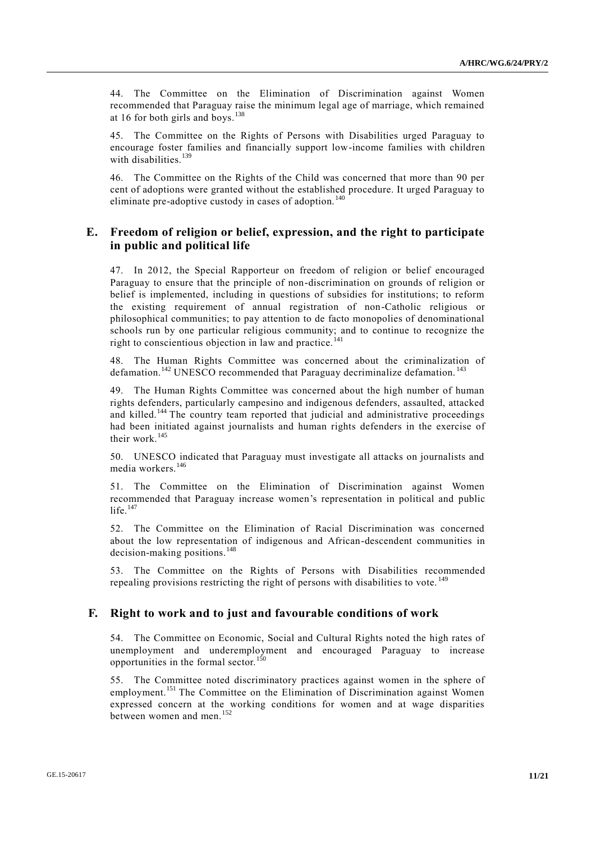44. The Committee on the Elimination of Discrimination against Women recommended that Paraguay raise the minimum legal age of marriage, which remained at 16 for both girls and boys.<sup>138</sup>

45. The Committee on the Rights of Persons with Disabilities urged Paraguay to encourage foster families and financially support low-income families with children with disabilities.<sup>139</sup>

46. The Committee on the Rights of the Child was concerned that more than 90 per cent of adoptions were granted without the established procedure. It urged Paraguay to eliminate pre-adoptive custody in cases of adoption.<sup>140</sup>

### **E. Freedom of religion or belief, expression, and the right to participate in public and political life**

47. In 2012, the Special Rapporteur on freedom of religion or belief encouraged Paraguay to ensure that the principle of non-discrimination on grounds of religion or belief is implemented, including in questions of subsidies for institutions; to reform the existing requirement of annual registration of non-Catholic religious or philosophical communities; to pay attention to de facto monopolies of denominational schools run by one particular religious community; and to continue to recognize the right to conscientious objection in law and practice.<sup>141</sup>

48. The Human Rights Committee was concerned about the criminalization of defamation.<sup>142</sup> UNESCO recommended that Paraguay decriminalize defamation.<sup>143</sup>

49. The Human Rights Committee was concerned about the high number of human rights defenders, particularly campesino and indigenous defenders, assaulted, attacked and killed.<sup>144</sup> The country team reported that judicial and administrative proceedings had been initiated against journalists and human rights defenders in the exercise of their work.<sup>145</sup>

50. UNESCO indicated that Paraguay must investigate all attacks on journalists and media workers.<sup>146</sup>

51. The Committee on the Elimination of Discrimination against Women recommended that Paraguay increase women's representation in political and public life. $147$ 

52. The Committee on the Elimination of Racial Discrimination was concerned about the low representation of indigenous and African-descendent communities in decision-making positions.<sup>148</sup>

53. The Committee on the Rights of Persons with Disabilities recommended repealing provisions restricting the right of persons with disabilities to vote.<sup>149</sup>

#### **F. Right to work and to just and favourable conditions of work**

54. The Committee on Economic, Social and Cultural Rights noted the high rates of unemployment and underemployment and encouraged Paraguay to increase opportunities in the formal sector.<sup>150</sup>

55. The Committee noted discriminatory practices against women in the sphere of employment.<sup>151</sup> The Committee on the Elimination of Discrimination against Women expressed concern at the working conditions for women and at wage disparities between women and men.<sup>152</sup>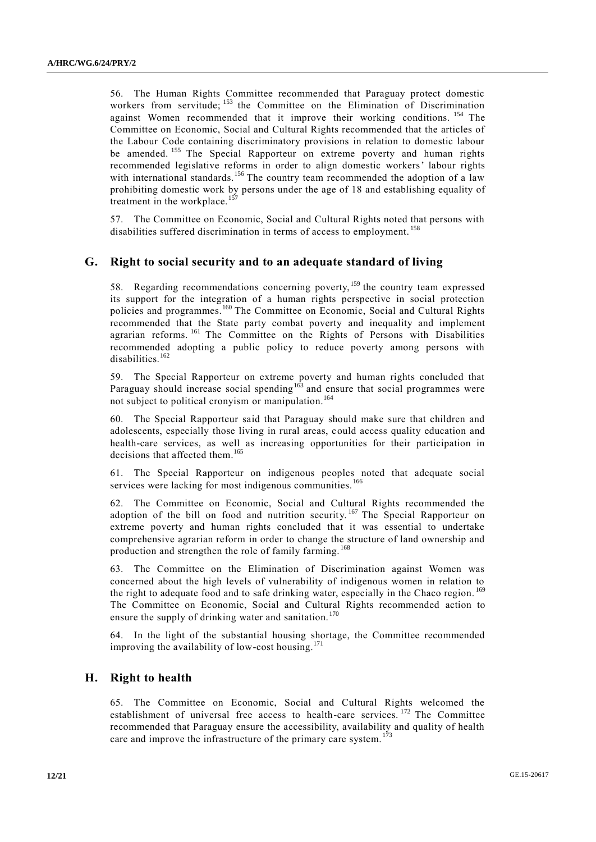56. The Human Rights Committee recommended that Paraguay protect domestic workers from servitude; <sup>153</sup> the Committee on the Elimination of Discrimination against Women recommended that it improve their working conditions. <sup>154</sup> The Committee on Economic, Social and Cultural Rights recommended that the articles of the Labour Code containing discriminatory provisions in relation to domestic labour be amended.<sup>155</sup> The Special Rapporteur on extreme poverty and human rights recommended legislative reforms in order to align domestic workers' labour rights with international standards.<sup>156</sup> The country team recommended the adoption of a law prohibiting domestic work by persons under the age of 18 and establishing equality of treatment in the workplace.<sup>15</sup>

57. The Committee on Economic, Social and Cultural Rights noted that persons with disabilities suffered discrimination in terms of access to employment.<sup>158</sup>

#### **G. Right to social security and to an adequate standard of living**

58. Regarding recommendations concerning poverty,<sup>159</sup> the country team expressed its support for the integration of a human rights perspective in social protection policies and programmes.<sup>160</sup> The Committee on Economic, Social and Cultural Rights recommended that the State party combat poverty and inequality and implement agrarian reforms. <sup>161</sup> The Committee on the Rights of Persons with Disabilities recommended adopting a public policy to reduce poverty among persons with disabilities.<sup>162</sup>

59. The Special Rapporteur on extreme poverty and human rights concluded that Paraguay should increase social spending<sup>163</sup> and ensure that social programmes were not subject to political cronyism or manipulation. 164

60. The Special Rapporteur said that Paraguay should make sure that children and adolescents, especially those living in rural areas, could access quality education and health-care services, as well as increasing opportunities for their participation in decisions that affected them.<sup>165</sup>

61. The Special Rapporteur on indigenous peoples noted that adequate social services were lacking for most indigenous communities.<sup>166</sup>

62. The Committee on Economic, Social and Cultural Rights recommended the adoption of the bill on food and nutrition security.<sup>167</sup> The Special Rapporteur on extreme poverty and human rights concluded that it was essential to undertake comprehensive agrarian reform in order to change the structure of land ownership and production and strengthen the role of family farming. <sup>168</sup>

63. The Committee on the Elimination of Discrimination against Women was concerned about the high levels of vulnerability of indigenous women in relation to the right to adequate food and to safe drinking water, especially in the Chaco region. <sup>169</sup> The Committee on Economic, Social and Cultural Rights recommended action to ensure the supply of drinking water and sanitation.<sup>170</sup>

64. In the light of the substantial housing shortage, the Committee recommended improving the availability of low-cost housing. $1/1$ 

### **H. Right to health**

65. The Committee on Economic, Social and Cultural Rights welcomed the establishment of universal free access to health-care services.<sup>172</sup> The Committee recommended that Paraguay ensure the accessibility, availability and quality of health care and improve the infrastructure of the primary care system.<sup>173</sup>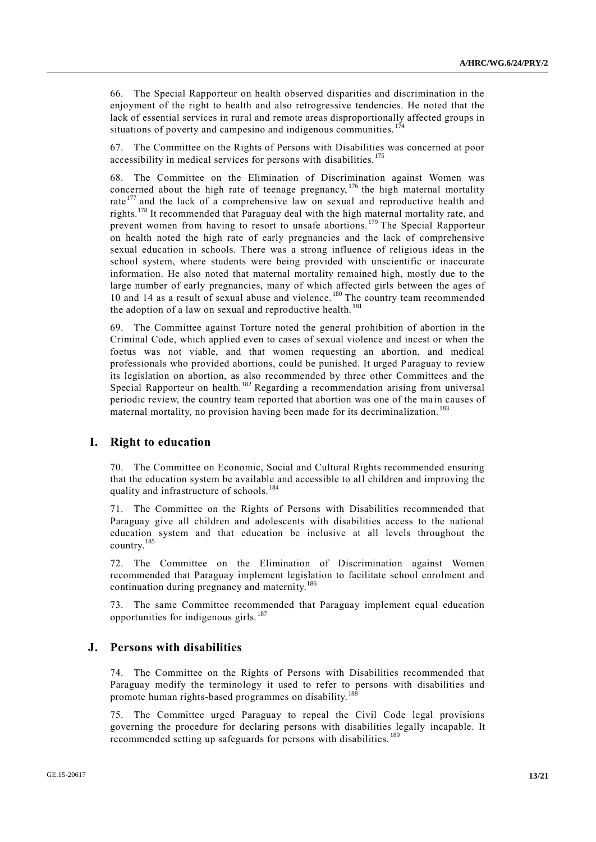66. The Special Rapporteur on health observed disparities and discrimination in the enjoyment of the right to health and also retrogressive tendencies. He noted that the lack of essential services in rural and remote areas disproportionally affected groups in situations of poverty and campesino and indigenous communities.  $174$ 

67. The Committee on the Rights of Persons with Disabilities was concerned at poor accessibility in medical services for persons with disabilities.<sup>175</sup>

68. The Committee on the Elimination of Discrimination against Women was concerned about the high rate of teenage pregnancy, <sup>176</sup> the high maternal mortality rate<sup>177</sup> and the lack of a comprehensive law on sexual and reproductive health and rights.<sup>178</sup> It recommended that Paraguay deal with the high maternal mortality rate, and prevent women from having to resort to unsafe abortions. <sup>179</sup> The Special Rapporteur on health noted the high rate of early pregnancies and the lack of comprehensive sexual education in schools. There was a strong influence of religious ideas in the school system, where students were being provided with unscientific or inaccurate information. He also noted that maternal mortality remained high, mostly due to the large number of early pregnancies, many of which affected girls between the ages of 10 and 14 as a result of sexual abuse and violence.<sup>180</sup> The country team recommended the adoption of a law on sexual and reproductive health.<sup>181</sup>

69. The Committee against Torture noted the general prohibition of abortion in the Criminal Code, which applied even to cases of sexual violence and incest or when the foetus was not viable, and that women requesting an abortion, and medical professionals who provided abortions, could be punished. It urged Paraguay to review its legislation on abortion, as also recommended by three other Committees and the Special Rapporteur on health.<sup>182</sup> Regarding a recommendation arising from universal periodic review, the country team reported that abortion was one of the ma in causes of maternal mortality, no provision having been made for its decriminalization.<sup>183</sup>

#### **I. Right to education**

70. The Committee on Economic, Social and Cultural Rights recommended ensuring that the education system be available and accessible to all children and improving the quality and infrastructure of schools.<sup>184</sup>

71. The Committee on the Rights of Persons with Disabilities recommended that Paraguay give all children and adolescents with disabilities access to the national education system and that education be inclusive at all levels throughout the country.<sup>185</sup>

72. The Committee on the Elimination of Discrimination against Women recommended that Paraguay implement legislation to facilitate school enrolment and continuation during pregnancy and maternity.<sup>186</sup>

73. The same Committee recommended that Paraguay implement equal education opportunities for indigenous girls.<sup>187</sup>

#### **J. Persons with disabilities**

74. The Committee on the Rights of Persons with Disabilities recommended that Paraguay modify the terminology it used to refer to persons with disabilities and promote human rights-based programmes on disability.<sup>188</sup>

75. The Committee urged Paraguay to repeal the Civil Code legal provisions governing the procedure for declaring persons with disabilities legally incapable. It recommended setting up safeguards for persons with disabilities.<sup>189</sup>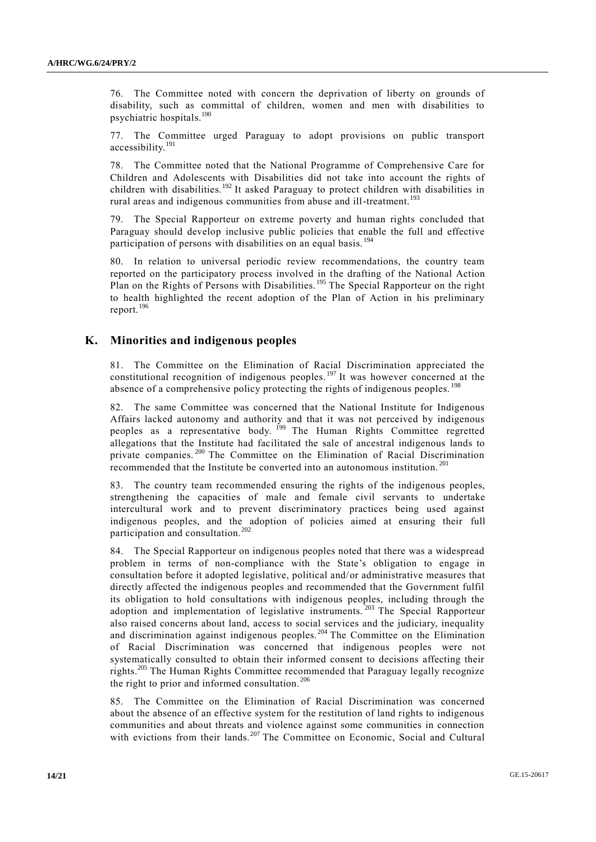76. The Committee noted with concern the deprivation of liberty on grounds of disability, such as committal of children, women and men with disabilities to psychiatric hospitals.<sup>190</sup>

77. The Committee urged Paraguay to adopt provisions on public transport accessibility.<sup>191</sup>

78. The Committee noted that the National Programme of Comprehensive Care for Children and Adolescents with Disabilities did not take into account the rights of children with disabilities.<sup>192</sup> It asked Paraguay to protect children with disabilities in rural areas and indigenous communities from abuse and ill-treatment.<sup>193</sup>

79. The Special Rapporteur on extreme poverty and human rights concluded that Paraguay should develop inclusive public policies that enable the full and effective participation of persons with disabilities on an equal basis.<sup>194</sup>

80. In relation to universal periodic review recommendations, the country team reported on the participatory process involved in the drafting of the National Action Plan on the Rights of Persons with Disabilities.<sup>195</sup> The Special Rapporteur on the right to health highlighted the recent adoption of the Plan of Action in his preliminary report.<sup>196</sup>

### **K. Minorities and indigenous peoples**

81. The Committee on the Elimination of Racial Discrimination appreciated the constitutional recognition of indigenous peoples.<sup>197</sup> It was however concerned at the absence of a comprehensive policy protecting the rights of indigenous peoples.<sup>198</sup>

82. The same Committee was concerned that the National Institute for Indigenous Affairs lacked autonomy and authority and that it was not perceived by indigenous peoples as a representative body. <sup>199</sup> The Human Rights Committee regretted allegations that the Institute had facilitated the sale of ancestral indigenous lands to private companies.<sup>200</sup> The Committee on the Elimination of Racial Discrimination recommended that the Institute be converted into an autonomous institution. <sup>201</sup>

The country team recommended ensuring the rights of the indigenous peoples, strengthening the capacities of male and female civil servants to undertake intercultural work and to prevent discriminatory practices being used against indigenous peoples, and the adoption of policies aimed at ensuring their full participation and consultation.<sup>202</sup>

84. The Special Rapporteur on indigenous peoples noted that there was a widespread problem in terms of non-compliance with the State's obligation to engage in consultation before it adopted legislative, political and/or administrative measures that directly affected the indigenous peoples and recommended that the Government fulfil its obligation to hold consultations with indigenous peoples, including through the adoption and implementation of legislative instruments.<sup>203</sup> The Special Rapporteur also raised concerns about land, access to social services and the judiciary, inequality and discrimination against indigenous peoples.<sup>204</sup> The Committee on the Elimination of Racial Discrimination was concerned that indigenous peoples were not systematically consulted to obtain their informed consent to decisions affecting their rights.<sup>205</sup> The Human Rights Committee recommended that Paraguay legally recognize the right to prior and informed consultation.<sup>206</sup>

85. The Committee on the Elimination of Racial Discrimination was concerned about the absence of an effective system for the restitution of land rights to indigenous communities and about threats and violence against some communities in connection with evictions from their lands.<sup>207</sup> The Committee on Economic, Social and Cultural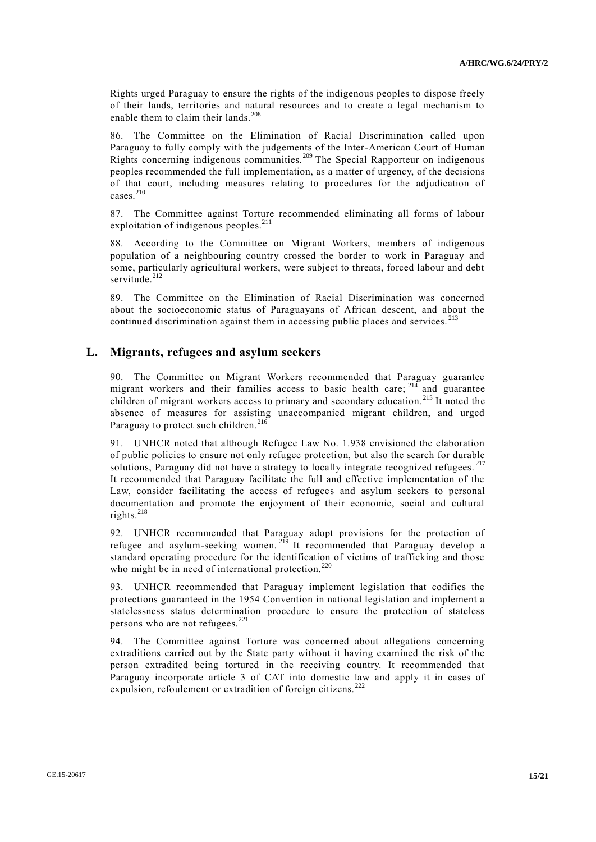Rights urged Paraguay to ensure the rights of the indigenous peoples to dispose freely of their lands, territories and natural resources and to create a legal mechanism to enable them to claim their lands.<sup>208</sup>

86. The Committee on the Elimination of Racial Discrimination called upon Paraguay to fully comply with the judgements of the Inter-American Court of Human Rights concerning indigenous communities. <sup>209</sup> The Special Rapporteur on indigenous peoples recommended the full implementation, as a matter of urgency, of the decisions of that court, including measures relating to procedures for the adjudication of cases.<sup>210</sup>

87. The Committee against Torture recommended eliminating all forms of labour exploitation of indigenous peoples.<sup>211</sup>

88. According to the Committee on Migrant Workers, members of indigenous population of a neighbouring country crossed the border to work in Paraguay and some, particularly agricultural workers, were subject to threats, forced labour and debt servitude.<sup>212</sup>

89. The Committee on the Elimination of Racial Discrimination was concerned about the socioeconomic status of Paraguayans of African descent, and about the continued discrimination against them in accessing public places and services.<sup>213</sup>

#### **L. Migrants, refugees and asylum seekers**

90. The Committee on Migrant Workers recommended that Paraguay guarantee migrant workers and their families access to basic health care;  $214$  and guarantee children of migrant workers access to primary and secondary education. <sup>215</sup> It noted the absence of measures for assisting unaccompanied migrant children, and urged Paraguay to protect such children. $216$ 

91. UNHCR noted that although Refugee Law No. 1.938 envisioned the elaboration of public policies to ensure not only refugee protection, but also the search for durable solutions, Paraguay did not have a strategy to locally integrate recognized refugees.<sup>217</sup> It recommended that Paraguay facilitate the full and effective implementation of the Law, consider facilitating the access of refugees and asylum seekers to personal documentation and promote the enjoyment of their economic, social and cultural rights.<sup>218</sup>

92. UNHCR recommended that Paraguay adopt provisions for the protection of refugee and asylum-seeking women. <sup>219</sup> It recommended that Paraguay develop a standard operating procedure for the identification of victims of trafficking and those who might be in need of international protection.<sup>220</sup>

93. UNHCR recommended that Paraguay implement legislation that codifies the protections guaranteed in the 1954 Convention in national legislation and implement a statelessness status determination procedure to ensure the protection of stateless persons who are not refugees.<sup>221</sup>

94. The Committee against Torture was concerned about allegations concerning extraditions carried out by the State party without it having examined the risk of the person extradited being tortured in the receiving country. It recommended that Paraguay incorporate article 3 of CAT into domestic law and apply it in cases of expulsion, refoulement or extradition of foreign citizens.<sup>222</sup>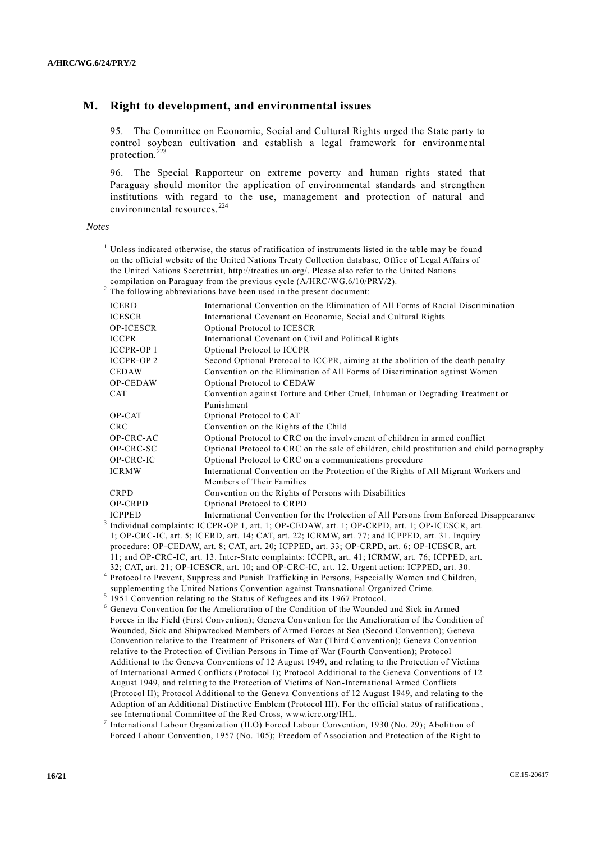#### **M. Right to development, and environmental issues**

95. The Committee on Economic, Social and Cultural Rights urged the State party to control soybean cultivation and establish a legal framework for environmental protection. $^{223}$ 

96. The Special Rapporteur on extreme poverty and human rights stated that Paraguay should monitor the application of environmental standards and strengthen institutions with regard to the use, management and protection of natural and environmental resources.<sup>224</sup>

#### *Notes*

- <sup>1</sup> Unless indicated otherwise, the status of ratification of instruments listed in the table may be found on the official website of the United Nations Treaty Collection database, Office of Legal Affairs of the United Nations Secretariat, [http://treaties.un.org/.](http://treaties.un.org/) Please also refer to the United Nations compilation on Paraguay from the previous cycle (A/HRC/WG.6/10/PRY/2).
- $2$  The following abbreviations have been used in the present document:

| <b>ICERD</b>     | International Convention on the Elimination of All Forms of Racial Discrimination          |
|------------------|--------------------------------------------------------------------------------------------|
| <b>ICESCR</b>    | International Covenant on Economic, Social and Cultural Rights                             |
| <b>OP-ICESCR</b> | Optional Protocol to ICESCR                                                                |
| <b>ICCPR</b>     | International Covenant on Civil and Political Rights                                       |
| <b>ICCPR-OP1</b> | Optional Protocol to ICCPR                                                                 |
| <b>ICCPR-OP2</b> | Second Optional Protocol to ICCPR, aiming at the abolition of the death penalty            |
| <b>CEDAW</b>     | Convention on the Elimination of All Forms of Discrimination against Women                 |
| <b>OP-CEDAW</b>  | Optional Protocol to CEDAW                                                                 |
| <b>CAT</b>       | Convention against Torture and Other Cruel, Inhuman or Degrading Treatment or              |
|                  | Punishment                                                                                 |
| OP-CAT           | Optional Protocol to CAT                                                                   |
| <b>CRC</b>       | Convention on the Rights of the Child                                                      |
| OP-CRC-AC        | Optional Protocol to CRC on the involvement of children in armed conflict                  |
| OP-CRC-SC        | Optional Protocol to CRC on the sale of children, child prostitution and child pornography |
| OP-CRC-IC        | Optional Protocol to CRC on a communications procedure                                     |
| <b>ICRMW</b>     | International Convention on the Protection of the Rights of All Migrant Workers and        |
|                  | Members of Their Families                                                                  |
| <b>CRPD</b>      | Convention on the Rights of Persons with Disabilities                                      |
| OP-CRPD          | Optional Protocol to CRPD                                                                  |
| <b>ICPPED</b>    | International Convention for the Protection of All Persons from Enforced Disappearance     |
|                  | Individual complaints: $ICCPR$ -OP 1 art 1: OP-CEDAW art 1: OP-CRPD art 1: OP-ICESCR art   |

3 Individual complaints: ICCPR-OP 1, art. 1; OP-CEDAW, art. 1; OP-CRPD, art. 1; OP-CRC-IC, art. 5; ICERD, art. 14; CAT, art. 22; ICRMW, art. 77; and ICPPED, art. 31. Inquiry procedure: OP-CEDAW, art. 8; CAT, art. 20; ICPPED, art. 33; OP-CRPD, art. 6; OP-ICESCR, art. 11; and OP-CRC-IC, art. 13. Inter-State complaints: ICCPR, art. 41; ICRMW, art. 76; ICPPED, art. 32; CAT, art. 21; OP-ICESCR, art. 10; and OP-CRC-IC, art. 12. Urgent action: ICPPED, art. 30.

- 4 Protocol to Prevent, Suppress and Punish Trafficking in Persons, Especially Women and Children, supplementing the United Nations Convention against Transnational Organized Crime.
- <sup>5</sup> 1951 Convention relating to the Status of Refugees and its 1967 Protocol.
- <sup>6</sup> Geneva Convention for the Amelioration of the Condition of the Wounded and Sick in Armed Forces in the Field (First Convention); Geneva Convention for the Amelioration of the Condition of Wounded, Sick and Shipwrecked Members of Armed Forces at Sea (Second Convention); Geneva Convention relative to the Treatment of Prisoners of War (Third Convention); Geneva Convention relative to the Protection of Civilian Persons in Time of War (Fourth Convention); Protocol Additional to the Geneva Conventions of 12 August 1949, and relating to the Protection of Victims of International Armed Conflicts (Protocol I); Protocol Additional to the Geneva Conventions of 12 August 1949, and relating to the Protection of Victims of Non-International Armed Conflicts (Protocol II); Protocol Additional to the Geneva Conventions of 12 August 1949, and relating to the Adoption of an Additional Distinctive Emblem (Protocol III). For the official status of ratifications, see International Committee of the Red Cross, www.icrc.org/IHL.

7 International Labour Organization (ILO) Forced Labour Convention, 1930 (No. 29); Abolition of Forced Labour Convention, 1957 (No. 105); Freedom of Association and Protection of the Right to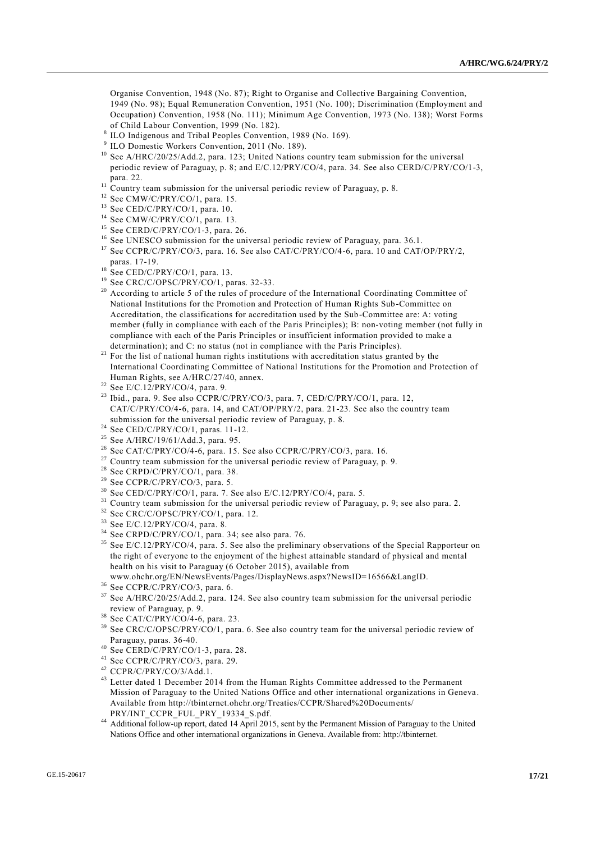Organise Convention, 1948 (No. 87); Right to Organise and Collective Bargaining Convention, 1949 (No. 98); Equal Remuneration Convention, 1951 (No. 100); Discrimination (Employment and Occupation) Convention, 1958 (No. 111); Minimum Age Convention, 1973 (No. 138); Worst Forms of Child Labour Convention, 1999 (No. 182).

- 8 ILO Indigenous and Tribal Peoples Convention, 1989 (No. 169).
- 9 ILO Domestic Workers Convention, 2011 (No. 189).
- <sup>10</sup> See A/HRC/20/25/Add.2, para. 123; United Nations country team submission for the universal periodic review of Paraguay, p. 8; and E/C.12/PRY/CO/4, para. 34. See also CERD/C/PRY/CO/1-3, para. 22.
- $11$  Country team submission for the universal periodic review of Paraguay, p. 8.
- <sup>12</sup> See CMW/C/PRY/CO/1, para. 15.
- <sup>13</sup> See CED/C/PRY/CO/1, para. 10.
- $14$  See CMW/C/PRY/CO/1, para. 13.
- <sup>15</sup> See CERD/C/PRY/CO/1-3, para. 26.
- <sup>16</sup> See UNESCO submission for the universal periodic review of Paraguay, para. 36.1.
- <sup>17</sup> See CCPR/C/PRY/CO/3, para. 16. See also CAT/C/PRY/CO/4-6, para. 10 and CAT/OP/PRY/2, paras. 17-19.
- $^{18}$  See CED/C/PRY/CO/1, para. 13.
- <sup>19</sup> See CRC/C/OPSC/PRY/CO/1, paras. 32-33.
- <sup>20</sup> According to article 5 of the rules of procedure of the International Coordinating Committee of National Institutions for the Promotion and Protection of Human Rights Sub -Committee on Accreditation, the classifications for accreditation used by the Sub-Committee are: A: voting member (fully in compliance with each of the Paris Principles); B: non-voting member (not fully in compliance with each of the Paris Principles or insufficient information provided to make a determination); and C: no status (not in compliance with the Paris Principles).
- <sup>21</sup> For the list of national human rights institutions with accreditation status granted by the International Coordinating Committee of National Institutions for the Promotion and Protection of Human Rights, see A/HRC/27/40, annex.
- $22$  See E/C.12/PRY/CO/4, para. 9.
- <sup>23</sup> Ibid., para. 9. See also CCPR/C/PRY/CO/3, para. 7, CED/C/PRY/CO/1, para. 12, CAT/C/PRY/CO/4-6, para. 14, and CAT/OP/PRY/2, para. 21-23. See also the country team submission for the universal periodic review of Paraguay, p. 8.
- $24$  See CED/C/PRY/CO/1, paras. 11-12.
- <sup>25</sup> See A/HRC/19/61/Add.3, para. 95.
- <sup>26</sup> See CAT/C/PRY/CO/4-6, para. 15. See also CCPR/C/PRY/CO/3, para. 16.
- $27$  Country team submission for the universal periodic review of Paraguay, p. 9.
- $28$  See CRPD/C/PRY/CO/1, para. 38.
- <sup>29</sup> See CCPR/C/PRY/CO/3, para. 5.
- $30$  See CED/C/PRY/CO/1, para. 7. See also E/C.12/PRY/CO/4, para. 5.
- <sup>31</sup> Country team submission for the universal periodic review of Paraguay, p. 9; see also para. 2.
- <sup>32</sup> See CRC/C/OPSC/PRY/CO/1, para. 12.
- <sup>33</sup> See E/C.12/PRY/CO/4, para. 8.
- <sup>34</sup> See CRPD/C/PRY/CO/1, para. 34; see also para. 76.
- <sup>35</sup> See E/C.12/PRY/CO/4, para. 5. See also the preliminary observations of the Special Rapporteur on the right of everyone to the enjoyment of the highest attainable standard of physical and mental health on his visit to Paraguay (6 October 2015), available from
- www.ohchr.org/EN/NewsEvents/Pages/DisplayNews.aspx?NewsID=16566&LangID.
- <sup>36</sup> See CCPR/C/PRY/CO/3, para. 6.
- <sup>37</sup> See A/HRC/20/25/Add.2, para. 124. See also country team submission for the universal periodic review of Paraguay, p. 9.
- <sup>38</sup> See CAT/C/PRY/CO/4-6, para. 23.
- <sup>39</sup> See CRC/C/OPSC/PRY/CO/1, para. 6. See also country team for the universal periodic review of Paraguay, paras. 36-40.
- $40$  See CERD/C/PRY/CO/1-3, para. 28.
- <sup>41</sup> See CCPR/C/PRY/CO/3, para. 29.
- <sup>42</sup> CCPR/C/PRY/CO/3/Add.1.
- <sup>43</sup> Letter dated 1 December 2014 from the Human Rights Committee addressed to the Permanent Mission of Paraguay to the United Nations Office and other international organizations in Geneva . Available from http://tbinternet.ohchr.org/Treaties/CCPR/Shared%20Documents/ PRY/INT\_CCPR\_FUL\_PRY\_19334\_S.pdf.
- <sup>44</sup> Additional follow-up report, dated 14 April 2015, sent by the Permanent Mission of Paraguay to the United Nations Office and other international organizations in Geneva. Available from: http://tbinternet.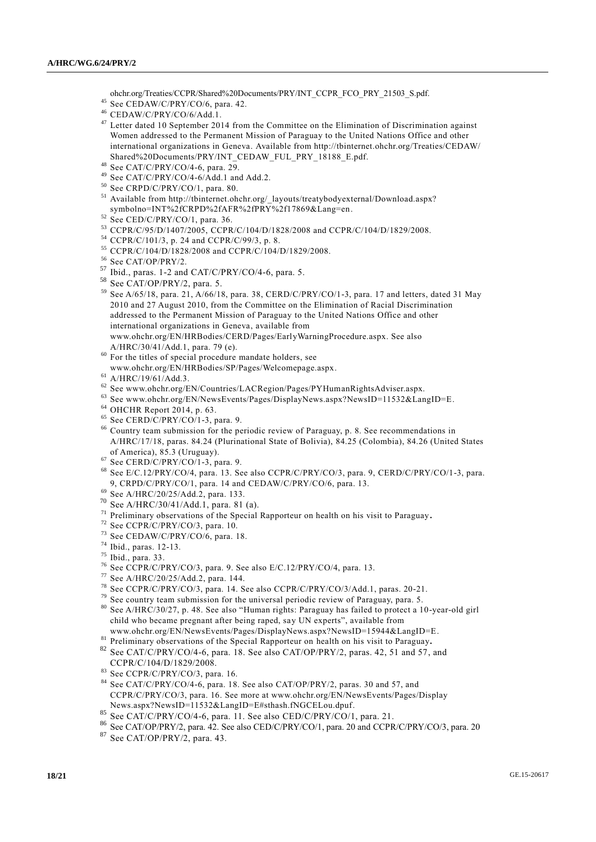- ohchr.org/Treaties/CCPR/Shared%20Documents/PRY/INT\_CCPR\_FCO\_PRY\_21503\_S.pdf.
- $45$  See CEDAW/C/PRY/CO/6, para. 42.
- <sup>46</sup> CEDAW/C/PRY/CO/6/Add.1.
- <sup>47</sup> Letter dated 10 September 2014 from the Committee on the Elimination of Discrimination against Women addressed to the Permanent Mission of Paraguay to the United Nations Office and other international organizations in Geneva. Available from http://tbinternet.ohchr.org/Treaties/CEDAW/ Shared%20Documents/PRY/INT\_CEDAW\_FUL\_PRY\_18188\_E.pdf.
- <sup>48</sup> See CAT/C/PRY/CO/4-6, para. 29.
- <sup>49</sup> See CAT/C/PRY/CO/4-6/Add.1 and Add.2.
- <sup>50</sup> See CRPD/C/PRY/CO/1, para. 80.
- <sup>51</sup> Available from [http://tbinternet.ohchr.org/\\_layouts/treatybodyexternal/Download.aspx?](http://tbinternet.ohchr.org/_layouts/treatybodyexternal/Download.aspx?symbolno=INT%2fCRPD%2fAFR%2fPRY%2f17869&Lang=en) [symbolno=INT%2fCRPD%2fAFR%2fPRY%2f17869&Lang=en.](http://tbinternet.ohchr.org/_layouts/treatybodyexternal/Download.aspx?symbolno=INT%2fCRPD%2fAFR%2fPRY%2f17869&Lang=en)
- <sup>52</sup> See CED/C/PRY/CO/1, para. 36.
- <sup>53</sup> CCPR/C/95/D/1407/2005, CCPR/C/104/D/1828/2008 and CCPR/C/104/D/1829/2008.
- <sup>54</sup> CCPR/C/101/3, p. 24 and CCPR/C/99/3, p. 8.
- <sup>55</sup> CCPR/C/104/D/1828/2008 and CCPR/C/104/D/1829/2008.
- $^{56}$  See CAT/OP/PRY/2.
- Ibid., paras.  $1-2$  and  $CAT/C/PRY/CO/4-6$ , para. 5.
- <sup>58</sup> See CAT/OP/PRY/2, para. 5.
- <sup>59</sup> See A/65/18, para. 21, A/66/18, para. 38, CERD/C/PRY/CO/1-3, para. 17 and letters, dated 31 May 2010 and 27 August 2010, from the Committee on the Elimination of Racial Discrimination addressed to the Permanent Mission of Paraguay to the United Nations Office and other international organizations in Geneva, available from www.ohchr.org/EN/HRBodies/CERD/Pages/EarlyWarningProcedure.aspx. See also A/HRC/30/41/Add.1, para. 79 (e).
- <sup>60</sup> For the titles of special procedure mandate holders, see www.ohchr.org/EN/HRBodies/SP/Pages/Welcomepage.aspx.
- <sup>61</sup> A/HRC/19/61/Add.3.
- $^{62}$  See www.ohchr.org/EN/Countries/LACRegion/Pages/PYHumanRightsAdviser.aspx.
- <sup>63</sup> See www.ohchr.org/EN/NewsEvents/Pages/DisplayNews.aspx?NewsID=11532&LangID=E.
- <sup>64</sup> OHCHR Report 2014, p. 63.
- $65$  See CERD/C/PRY/CO/1-3, para. 9.
- <sup>66</sup> Country team submission for the periodic review of Paraguay, p. 8. See recommendations in A/HRC/17/18, paras. 84.24 (Plurinational State of Bolivia), 84.25 (Colombia), 84.26 (United States of America), 85.3 (Uruguay).
- $^{67}$  See CERD/C/PRY/CO/1-3, para. 9.
- <sup>68</sup> See E/C.12/PRY/CO/4, para. 13. See also CCPR/C/PRY/CO/3, para. 9, CERD/C/PRY/CO/1-3, para. 9, CRPD/C/PRY/CO/1, para. 14 and CEDAW/C/PRY/CO/6, para. 13.
- $^{69}$  See A/HRC/20/25/Add.2, para. 133.
- <sup>70</sup> See A/HRC/30/41/Add.1, para. 81 (a).
- <sup>71</sup> Preliminary observations of the Special Rapporteur on health on his visit to Paraguay**.**
- $72$  See CCPR/C/PRY/CO/3, para. 10.
- $73$  See CEDAW/C/PRY/CO/6, para. 18.
- <sup>74</sup> Ibid., paras. 12-13.
- <sup>75</sup> Ibid., para. 33.
- <sup>76</sup> See CCPR/C/PRY/CO/3, para. 9. See also E/C.12/PRY/CO/4, para. 13.
- <sup>77</sup> See A/HRC/20/25/Add.2, para. 144.
- <sup>78</sup> See CCPR/C/PRY/CO/3, para. 14. See also CCPR/C/PRY/CO/3/Add.1, paras. 20-21.
- $79$  See country team submission for the universal periodic review of Paraguay, para. 5.
- <sup>80</sup> See A/HRC/30/27, p. 48. See also "Human rights: Paraguay has failed to protect a 10-year-old girl child who became pregnant after being raped, say UN experts", available from [www.ohchr.org/EN/NewsEvents/Pages/DisplayNews.aspx?NewsID=15944&LangID=E.](http://www.ohchr.org/EN/NewsEvents/Pages/DisplayNews.aspx?NewsID=15944&LangID=E)
- <sup>81</sup> Preliminary observations of the Special Rapporteur on health on his visit to Paraguay**.**
- $82$  See CAT/C/PRY/CO/4-6, para. 18. See also CAT/OP/PRY/2, paras. 42, 51 and 57, and CCPR/C/104/D/1829/2008.
- See CCPR/C/PRY/CO/3, para. 16.
- <sup>84</sup> See CAT/C/PRY/CO/4-6, para. 18. See also CAT/OP/PRY/2, paras. 30 and 57, and CCPR/C/PRY/CO/3, para. 16. See more at [www.ohchr.org/EN/NewsEvents/Pages/Display](http://www.ohchr.org/EN/NewsEvents/Pages/Display) News.aspx?NewsID=11532&LangID=E#sthash.fNGCELou.dpuf.
- <sup>85</sup> See CAT/C/PRY/CO/4-6, para. 11. See also CED/C/PRY/CO/1, para. 21.
- <sup>86</sup> See CAT/OP/PRY/2, para. 42. See also CED/C/PRY/CO/1, para. 20 and CCPR/C/PRY/CO/3, para. 20
- <sup>87</sup> See CAT/OP/PRY/2, para. 43.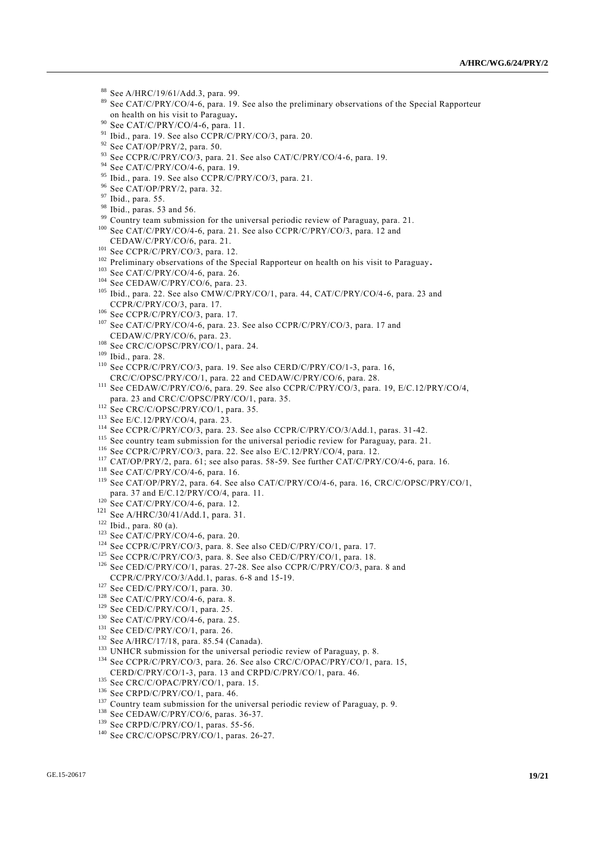- <sup>88</sup> See A/HRC/19/61/Add.3, para. 99.
- <sup>89</sup> See CAT/C/PRY/CO/4-6, para. 19. See also the preliminary observations of the Special Rapporteur on health on his visit to Paraguay**.**
- <sup>90</sup> See CAT/C/PRY/CO/4-6, para. 11.
- <sup>91</sup> Ibid., para. 19. See also CCPR/C/PRY/CO/3, para. 20.
- $92$  See CAT/OP/PRY/2, para. 50.
- 93 See CCPR/C/PRY/CO/3, para. 21. See also CAT/C/PRY/CO/4-6, para. 19.
- <sup>94</sup> See CAT/C/PRY/CO/4-6, para. 19.
- <sup>95</sup> Ibid., para. 19. See also CCPR/C/PRY/CO/3, para. 21.
- <sup>96</sup> See CAT/OP/PRY/2, para. 32.
- <sup>97</sup> Ibid., para. 55.
- <sup>98</sup> Ibid., paras. 53 and 56.
- Country team submission for the universal periodic review of Paraguay, para. 21.
- <sup>100</sup> See CAT/C/PRY/CO/4-6, para. 21. See also CCPR/C/PRY/CO/3, para. 12 and CEDAW/C/PRY/CO/6, para. 21.
- <sup>101</sup> See CCPR/C/PRY/CO/3, para. 12.
- <sup>102</sup> Preliminary observations of the Special Rapporteur on health on his visit to Paraguay**.**
- <sup>103</sup> See CAT/C/PRY/CO/4-6, para. 26.
- $^{104}$  See CEDAW/C/PRY/CO/6, para. 23.
- <sup>105</sup> Ibid., para. 22. See also CMW/C/PRY/CO/1, para. 44, CAT/C/PRY/CO/4-6, para. 23 and CCPR/C/PRY/CO/3, para. 17.
- $106$  See CCPR/C/PRY/CO/3, para. 17.
- <sup>107</sup> See CAT/C/PRY/CO/4-6, para. 23. See also CCPR/C/PRY/CO/3, para. 17 and CEDAW/C/PRY/CO/6, para. 23.
- <sup>108</sup> See CRC/C/OPSC/PRY/CO/1, para. 24.
- <sup>109</sup> Ibid., para. 28.
- <sup>110</sup> See CCPR/C/PRY/CO/3, para. 19. See also CERD/C/PRY/CO/1-3, para. 16, CRC/C/OPSC/PRY/CO/1, para. 22 and CEDAW/C/PRY/CO/6, para. 28.
- <sup>111</sup> See CEDAW/C/PRY/CO/6, para. 29. See also CCPR/C/PRY/CO/3, para. 19, E/C.12/PRY/CO/4, para. 23 and CRC/C/OPSC/PRY/CO/1, para. 35.
- <sup>112</sup> See CRC/C/OPSC/PRY/CO/1, para. 35.
- <sup>113</sup> See E/C.12/PRY/CO/4, para. 23.
- <sup>114</sup> See CCPR/C/PRY/CO/3, para. 23. See also CCPR/C/PRY/CO/3/Add.1, paras. 31-42.
- <sup>115</sup> See country team submission for the universal periodic review for Paraguay, para. 21.
- <sup>116</sup> See CCPR/C/PRY/CO/3, para. 22. See also E/C.12/PRY/CO/4, para. 12.
- <sup>117</sup> CAT/OP/PRY/2, para. 61; see also paras. 58-59. See further CAT/C/PRY/CO/4-6, para. 16.
- $118$  See CAT/C/PRY/CO/4-6, para. 16.
- <sup>119</sup> See CAT/OP/PRY/2, para. 64. See also CAT/C/PRY/CO/4-6, para. 16, CRC/C/OPSC/PRY/CO/1, para. 37 and E/C.12/PRY/CO/4, para. 11.
- <sup>120</sup> See CAT/C/PRY/CO/4-6, para. 12.
- <sup>121</sup> See A/HRC/30/41/Add.1, para. 31.
- <sup>122</sup> Ibid., para. 80 (a).
- <sup>123</sup> See CAT/C/PRY/CO/4-6, para. 20.
- <sup>124</sup> See CCPR/C/PRY/CO/3, para. 8. See also CED/C/PRY/CO/1, para. 17.
- <sup>125</sup> See CCPR/C/PRY/CO/3, para. 8. See also CED/C/PRY/CO/1, para. 18.
- <sup>126</sup> See CED/C/PRY/CO/1, paras. 27-28. See also CCPR/C/PRY/CO/3, para. 8 and CCPR/C/PRY/CO/3/Add.1, paras. 6-8 and 15-19.
- $127$  See CED/C/PRY/CO/1, para. 30.
- <sup>128</sup> See CAT/C/PRY/CO/4-6, para. 8.
- <sup>129</sup> See CED/C/PRY/CO/1, para. 25.
- <sup>130</sup> See CAT/C/PRY/CO/4-6, para. 25.
- <sup>131</sup> See CED/C/PRY/CO/1, para. 26.
- <sup>132</sup> See A/HRC/17/18, para. 85.54 (Canada).
- <sup>133</sup> UNHCR submission for the universal periodic review of Paraguay, p. 8. <sup>134</sup> See CCPR/C/PRY/CO/3, para. 26. See also CRC/C/OPAC/PRY/CO/1, para. 15,
- CERD/C/PRY/CO/1-3, para. 13 and CRPD/C/PRY/CO/1, para. 46.
- <sup>135</sup> See CRC/C/OPAC/PRY/CO/1, para. 15.
- 136 See CRPD/C/PRY/CO/1, para. 46.
- $137$  Country team submission for the universal periodic review of Paraguay, p. 9.
- <sup>138</sup> See CEDAW/C/PRY/CO/6, paras. 36-37.
- <sup>139</sup> See CRPD/C/PRY/CO/1, paras. 55-56.
- <sup>140</sup> See CRC/C/OPSC/PRY/CO/1, paras. 26-27.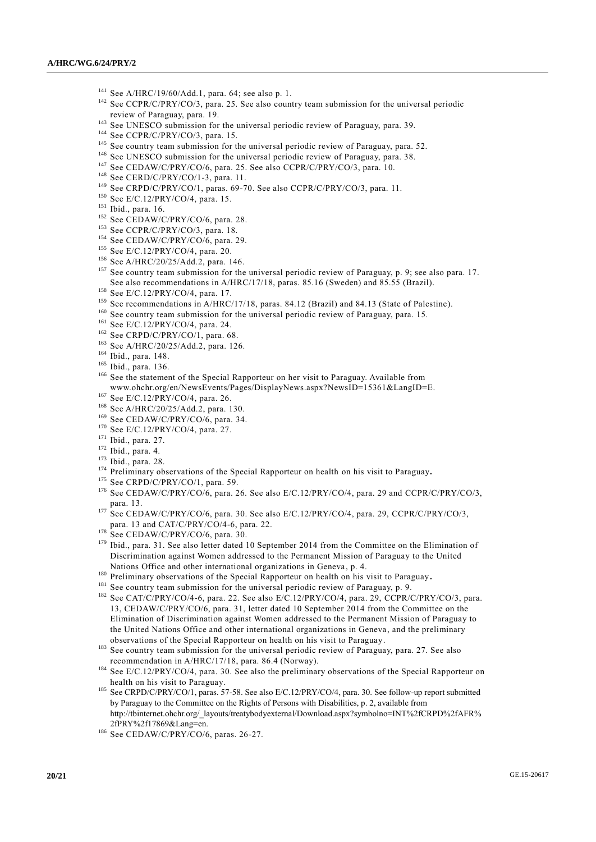- <sup>141</sup> See A/HRC/19/60/Add.1, para. 64; see also p. 1.
- <sup>142</sup> See CCPR/C/PRY/CO/3, para. 25. See also country team submission for the universal periodic review of Paraguay, para. 19.
- <sup>143</sup> See UNESCO submission for the universal periodic review of Paraguay, para. 39.
- <sup>144</sup> See CCPR/C/PRY/CO/3, para. 15.
- <sup>145</sup> See country team submission for the universal periodic review of Paraguay, para. 52.
- <sup>146</sup> See UNESCO submission for the universal periodic review of Paraguay, para. 38.
- <sup>147</sup> See CEDAW/C/PRY/CO/6, para. 25. See also CCPR/C/PRY/CO/3, para. 10.
- <sup>148</sup> See CERD/C/PRY/CO/1-3, para. 11.
- <sup>149</sup> See CRPD/C/PRY/CO/1, paras. 69-70. See also CCPR/C/PRY/CO/3, para. 11.
- <sup>150</sup> See E/C.12/PRY/CO/4, para. 15.
- <sup>151</sup> Ibid., para. 16.
- <sup>152</sup> See CEDAW/C/PRY/CO/6, para. 28.
- <sup>153</sup> See CCPR/C/PRY/CO/3, para. 18.
- <sup>154</sup> See CEDAW/C/PRY/CO/6, para. 29.
- <sup>155</sup> See E/C.12/PRY/CO/4, para. 20.
- <sup>156</sup> See A/HRC/20/25/Add.2, para. 146.
- <sup>157</sup> See country team submission for the universal periodic review of Paraguay, p. 9; see also para. 17. See also recommendations in A/HRC/17/18, paras. 85.16 (Sweden) and 85.55 (Brazil).
- <sup>158</sup> See E/C.12/PRY/CO/4, para. 17.
- <sup>159</sup> See recommendations in A/HRC/17/18, paras. 84.12 (Brazil) and 84.13 (State of Palestine).
- <sup>160</sup> See country team submission for the universal periodic review of Paraguay, para. 15.
- <sup>161</sup> See E/C.12/PRY/CO/4, para. 24.
- $162$  See CRPD/C/PRY/CO/1, para. 68.
- <sup>163</sup> See A/HRC/20/25/Add.2, para. 126.
- <sup>164</sup> Ibid., para. 148.
- <sup>165</sup> Ibid., para. 136.
- <sup>166</sup> See the statement of the Special Rapporteur on her visit to Paraguay. Available from www.ohchr.org/en/NewsEvents/Pages/DisplayNews.aspx?NewsID=15361&LangID=E.
- <sup>167</sup> See E/C.12/PRY/CO/4, para. 26.
- <sup>168</sup> See A/HRC/20/25/Add.2, para. 130.
- $169$  See CEDAW/C/PRY/CO/6, para. 34.
- $170$  See E/C.12/PRY/CO/4, para. 27.
- <sup>171</sup> Ibid., para. 27.
- <sup>172</sup> Ibid., para. 4.
- <sup>173</sup> Ibid., para. 28.
- <sup>174</sup> Preliminary observations of the Special Rapporteur on health on his visit to Paraguay**.**
- <sup>175</sup> See CRPD/C/PRY/CO/1, para. 59
- <sup>176</sup> See CEDAW/C/PRY/CO/6, para. 26. See also E/C.12/PRY/CO/4, para. 29 and CCPR/C/PRY/CO/3, para. 13.
- <sup>177</sup> See CEDAW/C/PRY/CO/6, para. 30. See also E/C.12/PRY/CO/4, para. 29, CCPR/C/PRY/CO/3, para. 13 and CAT/C/PRY/CO/4-6, para. 22.
- $178$  See CEDAW/C/PRY/CO/6, para. 30.
- <sup>179</sup> Ibid., para. 31. See also letter dated 10 September 2014 from the Committee on the Elimination of Discrimination against Women addressed to the Permanent Mission of Paraguay to the United Nations Office and other international organizations in Geneva , p. 4.
- <sup>180</sup> Preliminary observations of the Special Rapporteur on health on his visit to Paraguay**.**
- <sup>181</sup> See country team submission for the universal periodic review of Paraguay, p. 9.
- <sup>182</sup> See CAT/C/PRY/CO/4-6, para. 22. See also E/C.12/PRY/CO/4, para. 29, CCPR/C/PRY/CO/3, para. 13, CEDAW/C/PRY/CO/6, para. 31, letter dated 10 September 2014 from the Committee on the Elimination of Discrimination against Women addressed to the Permanent Mission of Paraguay to the United Nations Office and other international organizations in Geneva , and the preliminary observations of the Special Rapporteur on health on his visit to Paraguay.
- <sup>183</sup> See country team submission for the universal periodic review of Paraguay, para. 27. See also recommendation in A/HRC/17/18, para. 86.4 (Norway).
- <sup>184</sup> See E/C.12/PRY/CO/4, para. 30. See also the preliminary observations of the Special Rapporteur on health on his visit to Paraguay.
- <sup>185</sup> See CRPD/C/PRY/CO/1, paras. 57-58. See also E/C.12/PRY/CO/4, para. 30. See follow-up report submitted by Paraguay to the Committee on the Rights of Persons with Disabilities, p. 2, available from [http://tbinternet.ohchr.org/\\_layouts/treatybodyexternal/Download.aspx?symbolno=INT%2fCRPD%2fAFR%](http://tbinternet.ohchr.org/_layouts/treatybodyexternal/Download.aspx?symbolno=INT%2fCRPD%2fAFR%2fPRY%2f17869&Lang=en) [2fPRY%2f17869&Lang=en.](http://tbinternet.ohchr.org/_layouts/treatybodyexternal/Download.aspx?symbolno=INT%2fCRPD%2fAFR%2fPRY%2f17869&Lang=en)
- <sup>186</sup> See CEDAW/C/PRY/CO/6, paras. 26-27.